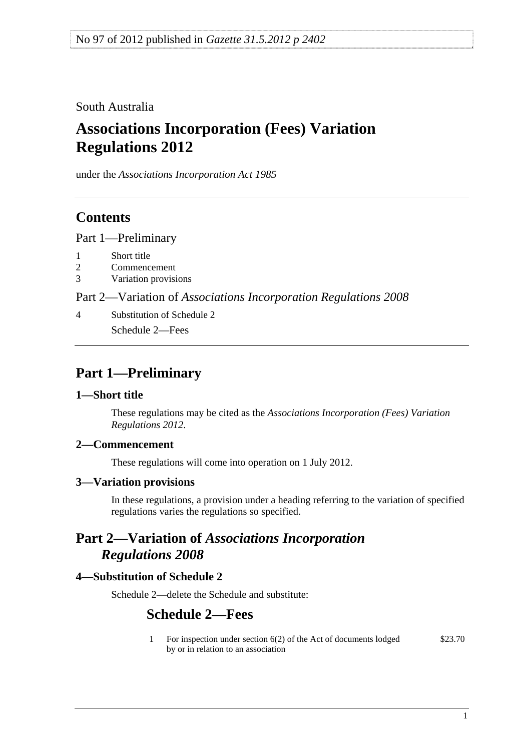<span id="page-0-0"></span>South Australia

# **Associations Incorporation (Fees) Variation Regulations 2012**

under the *Associations Incorporation Act 1985*

## **Contents**

[Part 1—Preliminary](#page-0-0)

- [1 Short title](#page-0-0)
- [2 Commencement](#page-0-0)
- [3 Variation provisions](#page-0-0)

Part 2—Variation of *[Associations Incorporation Regulations 2008](#page-0-0)*

[4 Substitution of Schedule 2](#page-0-0) [Schedule 2—Fees](#page-0-0) 

## **Part 1—Preliminary**

#### **1—Short title**

These regulations may be cited as the *Associations Incorporation (Fees) Variation Regulations 2012*.

## **2—Commencement**

These regulations will come into operation on 1 July 2012.

#### **3—Variation provisions**

In these regulations, a provision under a heading referring to the variation of specified regulations varies the regulations so specified.

## **Part 2—Variation of** *Associations Incorporation Regulations 2008*

## **4—Substitution of Schedule 2**

Schedule 2—delete the Schedule and substitute:

## **Schedule 2—Fees**

1 For inspection under section 6(2) of the Act of documents lodged by or in relation to an association \$23.70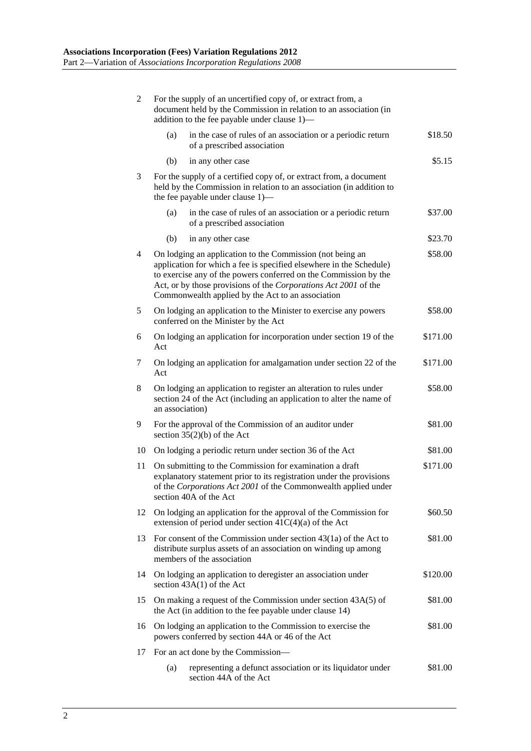| 2  | For the supply of an uncertified copy of, or extract from, a<br>document held by the Commission in relation to an association (in<br>addition to the fee payable under clause 1)-                                                                                                                                            |          |
|----|------------------------------------------------------------------------------------------------------------------------------------------------------------------------------------------------------------------------------------------------------------------------------------------------------------------------------|----------|
|    | in the case of rules of an association or a periodic return<br>(a)<br>of a prescribed association                                                                                                                                                                                                                            | \$18.50  |
|    | in any other case<br>(b)                                                                                                                                                                                                                                                                                                     | \$5.15   |
| 3  | For the supply of a certified copy of, or extract from, a document<br>held by the Commission in relation to an association (in addition to<br>the fee payable under clause 1)—                                                                                                                                               |          |
|    | in the case of rules of an association or a periodic return<br>(a)<br>of a prescribed association                                                                                                                                                                                                                            | \$37.00  |
|    | (b)<br>in any other case                                                                                                                                                                                                                                                                                                     | \$23.70  |
| 4  | On lodging an application to the Commission (not being an<br>application for which a fee is specified elsewhere in the Schedule)<br>to exercise any of the powers conferred on the Commission by the<br>Act, or by those provisions of the Corporations Act 2001 of the<br>Commonwealth applied by the Act to an association |          |
| 5  | On lodging an application to the Minister to exercise any powers<br>conferred on the Minister by the Act                                                                                                                                                                                                                     | \$58.00  |
| 6  | On lodging an application for incorporation under section 19 of the<br>Act                                                                                                                                                                                                                                                   | \$171.00 |
| 7  | On lodging an application for amalgamation under section 22 of the<br>Act                                                                                                                                                                                                                                                    | \$171.00 |
| 8  | On lodging an application to register an alteration to rules under<br>section 24 of the Act (including an application to alter the name of<br>an association)                                                                                                                                                                | \$58.00  |
| 9  | For the approval of the Commission of an auditor under<br>section $35(2)(b)$ of the Act                                                                                                                                                                                                                                      | \$81.00  |
| 10 | On lodging a periodic return under section 36 of the Act                                                                                                                                                                                                                                                                     | \$81.00  |
| 11 | On submitting to the Commission for examination a draft<br>explanatory statement prior to its registration under the provisions<br>of the Corporations Act 2001 of the Commonwealth applied under<br>section 40A of the Act                                                                                                  | \$171.00 |
| 12 | On lodging an application for the approval of the Commission for<br>extension of period under section $41C(4)(a)$ of the Act                                                                                                                                                                                                 | \$60.50  |
| 13 | For consent of the Commission under section $43(1a)$ of the Act to<br>distribute surplus assets of an association on winding up among<br>members of the association                                                                                                                                                          | \$81.00  |
| 14 | On lodging an application to deregister an association under<br>section 43A(1) of the Act                                                                                                                                                                                                                                    | \$120.00 |
| 15 | On making a request of the Commission under section 43A(5) of<br>the Act (in addition to the fee payable under clause 14)                                                                                                                                                                                                    | \$81.00  |
| 16 | \$81.00<br>On lodging an application to the Commission to exercise the<br>powers conferred by section 44A or 46 of the Act                                                                                                                                                                                                   |          |
| 17 | For an act done by the Commission—                                                                                                                                                                                                                                                                                           |          |
|    | (a)<br>representing a defunct association or its liquidator under<br>section 44A of the Act                                                                                                                                                                                                                                  | \$81.00  |